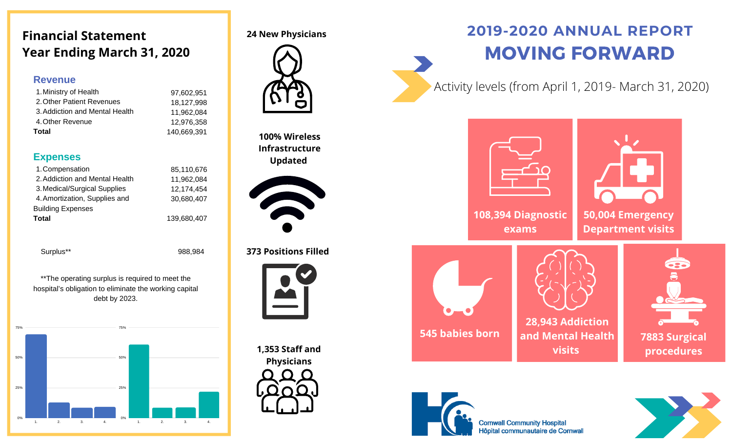# **Financial Statement Year Ending March 31, 2020**

#### **Revenue**

| 1. Ministry of Health          | 97.602.951  |
|--------------------------------|-------------|
| 2. Other Patient Revenues      | 18,127,998  |
| 3. Addiction and Mental Health | 11.962.084  |
| 4. Other Revenue               | 12.976.358  |
| <b>Total</b>                   | 140,669,391 |

#### **Expenses**

| 1. Compensation                | 85,110,676  |
|--------------------------------|-------------|
| 2. Addiction and Mental Health | 11,962,084  |
| 3. Medical/Surgical Supplies   | 12,174,454  |
| 4. Amortization, Supplies and  | 30,680,407  |
| <b>Building Expenses</b>       |             |
| <b>Total</b>                   | 139,680,407 |

Surplus\*\* 988,984

\*\*The operating surplus is required to meet the hospital's obligation to eliminate the working capital debt by 2023.



**24 New Physicians** 



**100% Wireless Infrastructure Updated**



**373 Positions Filled**



**1,353 Staff and Physicians**

# **2019-2020 ANNUAL REPORT** MOVING FORWARD

Activity levels (from April 1, 2019- March 31, 2020)



**108,394 Diagnostic exams**

**50,004 Emergency Department visits**



**28,943 Addiction and Mental Health visits**